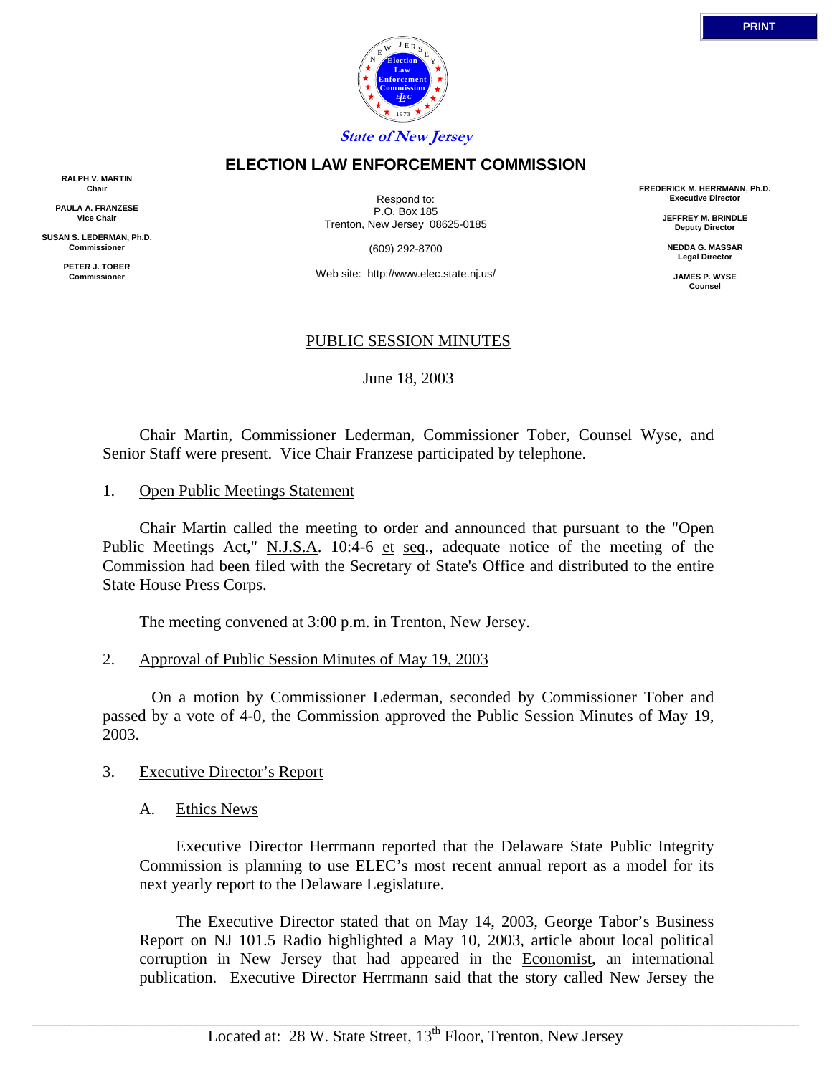

#### **ELECTION LAW ENFORCEMENT COMMISSION**

**RALPH V. MARTIN Chair**

**PAULA A. FRANZESE Vice Chair**

**SUSAN S. LEDERMAN, Ph.D. Commissioner**

> **PETER J. TOBER Commissioner**

Respond to: P.O. Box 185 Trenton, New Jersey 08625-0185

(609) 292-8700

Web site: http://www.elec.state.nj.us/

## PUBLIC SESSION MINUTES

June 18, 2003

 Chair Martin, Commissioner Lederman, Commissioner Tober, Counsel Wyse, and Senior Staff were present. Vice Chair Franzese participated by telephone.

1. Open Public Meetings Statement

 Chair Martin called the meeting to order and announced that pursuant to the "Open Public Meetings Act," N.J.S.A. 10:4-6 et seq., adequate notice of the meeting of the Commission had been filed with the Secretary of State's Office and distributed to the entire State House Press Corps.

The meeting convened at 3:00 p.m. in Trenton, New Jersey.

2. Approval of Public Session Minutes of May 19, 2003

 On a motion by Commissioner Lederman, seconded by Commissioner Tober and passed by a vote of 4-0, the Commission approved the Public Session Minutes of May 19, 2003.

## 3. Executive Director's Report

A. Ethics News

 Executive Director Herrmann reported that the Delaware State Public Integrity Commission is planning to use ELEC's most recent annual report as a model for its next yearly report to the Delaware Legislature.

 The Executive Director stated that on May 14, 2003, George Tabor's Business Report on NJ 101.5 Radio highlighted a May 10, 2003, article about local political corruption in New Jersey that had appeared in the Economist, an international publication. Executive Director Herrmann said that the story called New Jersey the

**FREDERICK M. HERRMANN, Ph.D. Executive Director JEFFREY M. BRINDLE Deputy Director NEDDA G. MASSAR Legal Director JAMES P. WYSE Counsel**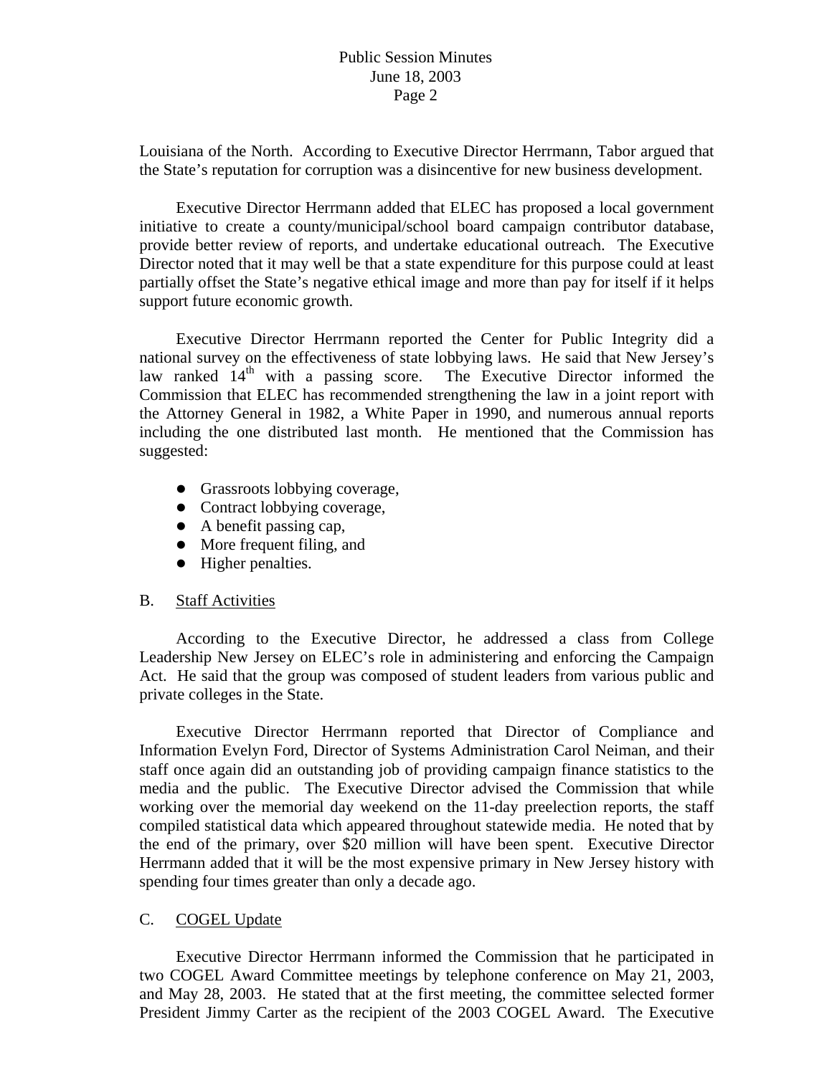# Public Session Minutes June 18, 2003 Page 2

Louisiana of the North. According to Executive Director Herrmann, Tabor argued that the State's reputation for corruption was a disincentive for new business development.

 Executive Director Herrmann added that ELEC has proposed a local government initiative to create a county/municipal/school board campaign contributor database, provide better review of reports, and undertake educational outreach. The Executive Director noted that it may well be that a state expenditure for this purpose could at least partially offset the State's negative ethical image and more than pay for itself if it helps support future economic growth.

 Executive Director Herrmann reported the Center for Public Integrity did a national survey on the effectiveness of state lobbying laws. He said that New Jersey's law ranked  $14<sup>th</sup>$  with a passing score. The Executive Director informed the Commission that ELEC has recommended strengthening the law in a joint report with the Attorney General in 1982, a White Paper in 1990, and numerous annual reports including the one distributed last month. He mentioned that the Commission has suggested:

- Grassroots lobbying coverage,
- Contract lobbying coverage,
- $\bullet$  A benefit passing cap,
- More frequent filing, and
- Higher penalties.

## B. Staff Activities

 According to the Executive Director, he addressed a class from College Leadership New Jersey on ELEC's role in administering and enforcing the Campaign Act. He said that the group was composed of student leaders from various public and private colleges in the State.

 Executive Director Herrmann reported that Director of Compliance and Information Evelyn Ford, Director of Systems Administration Carol Neiman, and their staff once again did an outstanding job of providing campaign finance statistics to the media and the public. The Executive Director advised the Commission that while working over the memorial day weekend on the 11-day preelection reports, the staff compiled statistical data which appeared throughout statewide media. He noted that by the end of the primary, over \$20 million will have been spent. Executive Director Herrmann added that it will be the most expensive primary in New Jersey history with spending four times greater than only a decade ago.

## C. COGEL Update

Executive Director Herrmann informed the Commission that he participated in two COGEL Award Committee meetings by telephone conference on May 21, 2003, and May 28, 2003. He stated that at the first meeting, the committee selected former President Jimmy Carter as the recipient of the 2003 COGEL Award. The Executive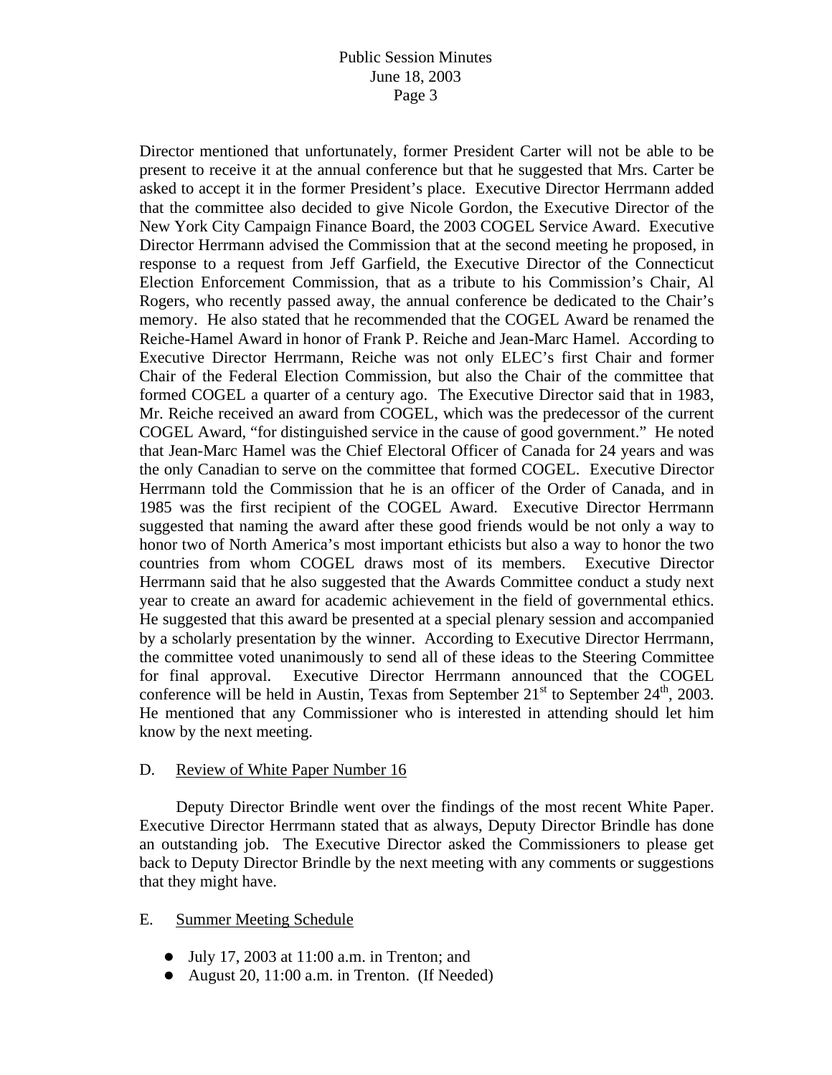# Public Session Minutes June 18, 2003 Page 3

Director mentioned that unfortunately, former President Carter will not be able to be present to receive it at the annual conference but that he suggested that Mrs. Carter be asked to accept it in the former President's place. Executive Director Herrmann added that the committee also decided to give Nicole Gordon, the Executive Director of the New York City Campaign Finance Board, the 2003 COGEL Service Award. Executive Director Herrmann advised the Commission that at the second meeting he proposed, in response to a request from Jeff Garfield, the Executive Director of the Connecticut Election Enforcement Commission, that as a tribute to his Commission's Chair, Al Rogers, who recently passed away, the annual conference be dedicated to the Chair's memory. He also stated that he recommended that the COGEL Award be renamed the Reiche-Hamel Award in honor of Frank P. Reiche and Jean-Marc Hamel. According to Executive Director Herrmann, Reiche was not only ELEC's first Chair and former Chair of the Federal Election Commission, but also the Chair of the committee that formed COGEL a quarter of a century ago. The Executive Director said that in 1983, Mr. Reiche received an award from COGEL, which was the predecessor of the current COGEL Award, "for distinguished service in the cause of good government." He noted that Jean-Marc Hamel was the Chief Electoral Officer of Canada for 24 years and was the only Canadian to serve on the committee that formed COGEL. Executive Director Herrmann told the Commission that he is an officer of the Order of Canada, and in 1985 was the first recipient of the COGEL Award. Executive Director Herrmann suggested that naming the award after these good friends would be not only a way to honor two of North America's most important ethicists but also a way to honor the two countries from whom COGEL draws most of its members. Executive Director Herrmann said that he also suggested that the Awards Committee conduct a study next year to create an award for academic achievement in the field of governmental ethics. He suggested that this award be presented at a special plenary session and accompanied by a scholarly presentation by the winner. According to Executive Director Herrmann, the committee voted unanimously to send all of these ideas to the Steering Committee for final approval. Executive Director Herrmann announced that the COGEL conference will be held in Austin, Texas from September  $21<sup>st</sup>$  to September  $24<sup>th</sup>$ , 2003. He mentioned that any Commissioner who is interested in attending should let him know by the next meeting.

## D. Review of White Paper Number 16

 Deputy Director Brindle went over the findings of the most recent White Paper. Executive Director Herrmann stated that as always, Deputy Director Brindle has done an outstanding job. The Executive Director asked the Commissioners to please get back to Deputy Director Brindle by the next meeting with any comments or suggestions that they might have.

## E. Summer Meeting Schedule

- $\bullet$  July 17, 2003 at 11:00 a.m. in Trenton; and
- August 20, 11:00 a.m. in Trenton. (If Needed)